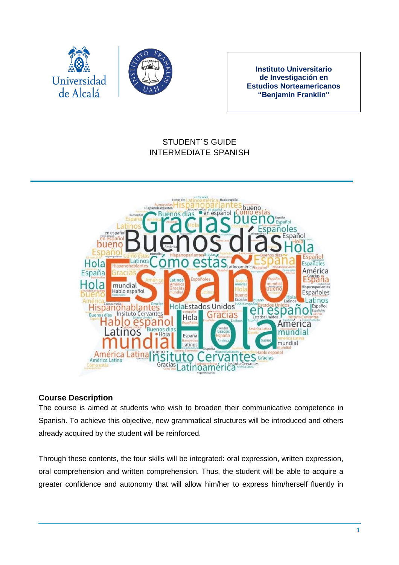

**Instituto Universitario de Investigación en Estudios Norteamericanos "Benjamin Franklin"**

# STUDENT´S GUIDE INTERMEDIATE SPANISH



### **Course Description**

The course is aimed at students who wish to broaden their communicative competence in Spanish. To achieve this objective, new grammatical structures will be introduced and others already acquired by the student will be reinforced.

Through these contents, the four skills will be integrated: oral expression, written expression, oral comprehension and written comprehension. Thus, the student will be able to acquire a greater confidence and autonomy that will allow him/her to express him/herself fluently in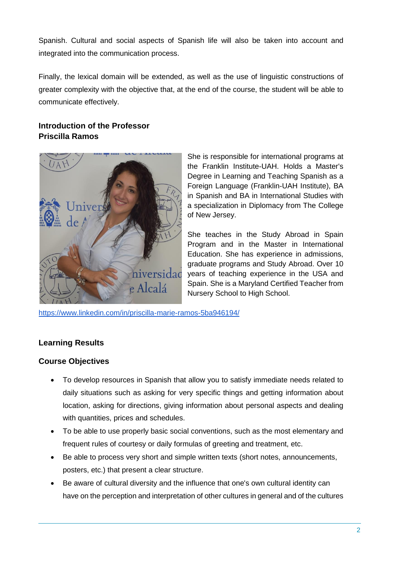Spanish. Cultural and social aspects of Spanish life will also be taken into account and integrated into the communication process.

Finally, the lexical domain will be extended, as well as the use of linguistic constructions of greater complexity with the objective that, at the end of the course, the student will be able to communicate effectively.

## **Introduction of the Professor Priscilla Ramos**



She is responsible for international programs at the Franklin Institute-UAH. Holds a Master's Degree in Learning and Teaching Spanish as a Foreign Language (Franklin-UAH Institute), BA in Spanish and BA in International Studies with a specialization in Diplomacy from The College of New Jersey.

She teaches in the Study Abroad in Spain Program and in the Master in International Education. She has experience in admissions, graduate programs and Study Abroad. Over 10 years of teaching experience in the USA and Spain. She is a Maryland Certified Teacher from Nursery School to High School.

<https://www.linkedin.com/in/priscilla-marie-ramos-5ba946194/>

### **Learning Results**

### **Course Objectives**

- To develop resources in Spanish that allow you to satisfy immediate needs related to daily situations such as asking for very specific things and getting information about location, asking for directions, giving information about personal aspects and dealing with quantities, prices and schedules.
- To be able to use properly basic social conventions, such as the most elementary and frequent rules of courtesy or daily formulas of greeting and treatment, etc.
- Be able to process very short and simple written texts (short notes, announcements, posters, etc.) that present a clear structure.
- Be aware of cultural diversity and the influence that one's own cultural identity can have on the perception and interpretation of other cultures in general and of the cultures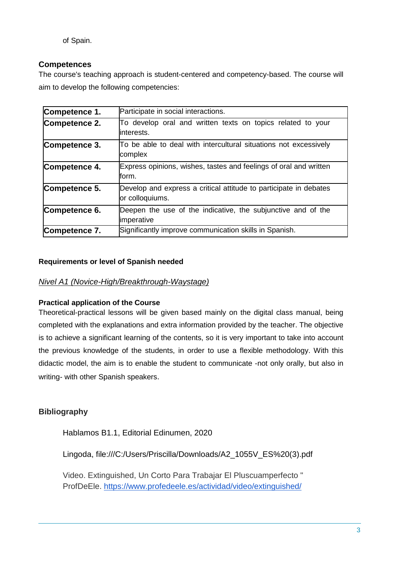of Spain.

### **Competences**

The course's teaching approach is student-centered and competency-based. The course will aim to develop the following competencies:

| Competence 1. | Participate in social interactions.                                                  |
|---------------|--------------------------------------------------------------------------------------|
| Competence 2. | To develop oral and written texts on topics related to your<br>linterests.           |
| Competence 3. | To be able to deal with intercultural situations not excessively<br>complex          |
| Competence 4. | Express opinions, wishes, tastes and feelings of oral and written<br>form.           |
| Competence 5. | Develop and express a critical attitude to participate in debates<br>or colloquiums. |
| Competence 6. | Deepen the use of the indicative, the subjunctive and of the<br>imperative           |
| Competence 7. | Significantly improve communication skills in Spanish.                               |

### **Requirements or level of Spanish needed**

#### *Nivel A1 (Novice-High/Breakthrough-Waystage)*

#### **Practical application of the Course**

Theoretical-practical lessons will be given based mainly on the digital class manual, being completed with the explanations and extra information provided by the teacher. The objective is to achieve a significant learning of the contents, so it is very important to take into account the previous knowledge of the students, in order to use a flexible methodology. With this didactic model, the aim is to enable the student to communicate -not only orally, but also in writing- with other Spanish speakers.

## **Bibliography**

Hablamos B1.1, Editorial Edinumen, 2020

Lingoda, file:///C:/Users/Priscilla/Downloads/A2\_1055V\_ES%20(3).pdf

Video. Extinguished, Un Corto Para Trabajar El Pluscuamperfecto " ProfDeEle. <https://www.profedeele.es/actividad/video/extinguished/>